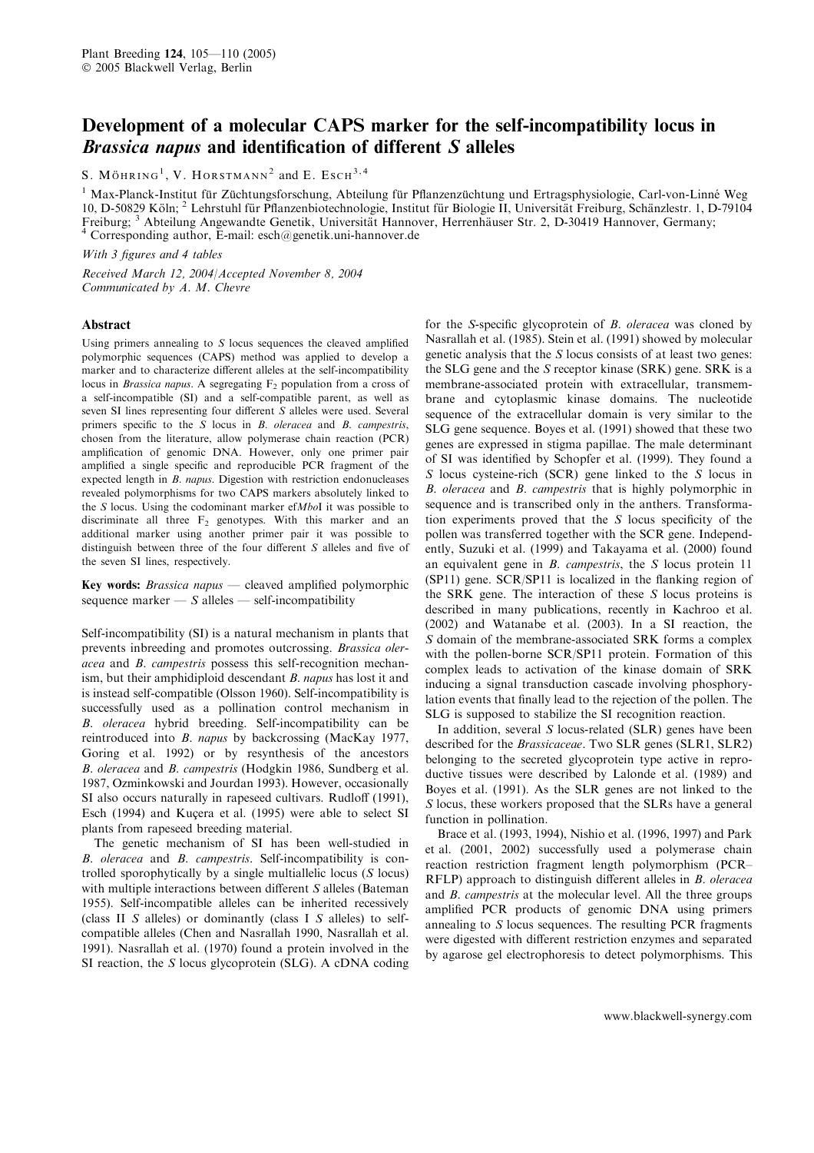# Development of a molecular CAPS marker for the self-incompatibility locus in Brassica napus and identification of different S alleles

S. MÖHRING<sup>1</sup>, V. HORSTMANN<sup>2</sup> and E. Esch<sup>3,4</sup>

<sup>1</sup> Max-Planck-Institut für Züchtungsforschung, Abteilung für Pflanzenzüchtung und Ertragsphysiologie, Carl-von-Linné Weg 10, D-50829 Köln; <sup>2</sup> Lehrstuhl für Pflanzenbiotechnologie, Institut für Biologie II, Universität Freiburg, Schänzlestr. 1, D-79104 Freiburg; <sup>3</sup> Abteilung Angewandte Genetik, Universität Hannover, Herrenhäuser Str. 2, D-30419 Hannover, Germany; <sup>4</sup> Corresponding author, E-mail: esch@genetik.uni-hannover.de

With 3 figures and 4 tables

Received March 12, 2004/Accepted November 8, 2004 Communicated by A. M. Chevre

#### Abstract

Using primers annealing to S locus sequences the cleaved amplified polymorphic sequences (CAPS) method was applied to develop a marker and to characterize different alleles at the self-incompatibility locus in *Brassica napus*. A segregating  $F<sub>2</sub>$  population from a cross of a self-incompatible (SI) and a self-compatible parent, as well as seven SI lines representing four different S alleles were used. Several primers specific to the S locus in B. oleracea and B. campestris, chosen from the literature, allow polymerase chain reaction (PCR) amplification of genomic DNA. However, only one primer pair amplified a single specific and reproducible PCR fragment of the expected length in B. napus. Digestion with restriction endonucleases revealed polymorphisms for two CAPS markers absolutely linked to the S locus. Using the codominant marker  $efMboI$  it was possible to discriminate all three  $F_2$  genotypes. With this marker and an additional marker using another primer pair it was possible to distinguish between three of the four different S alleles and five of the seven SI lines, respectively.

Key words: Brassica napus — cleaved amplified polymorphic sequence marker  $\overline{\phantom{a}}$  self-incompatibility

Self-incompatibility (SI) is a natural mechanism in plants that prevents inbreeding and promotes outcrossing. Brassica oleracea and B. campestris possess this self-recognition mechanism, but their amphidiploid descendant B. napus has lost it and is instead self-compatible (Olsson 1960). Self-incompatibility is successfully used as a pollination control mechanism in B. oleracea hybrid breeding. Self-incompatibility can be reintroduced into B. napus by backcrossing (MacKay 1977, Goring et al. 1992) or by resynthesis of the ancestors B. oleracea and B. campestris (Hodgkin 1986, Sundberg et al. 1987, Ozminkowski and Jourdan 1993). However, occasionally SI also occurs naturally in rapeseed cultivars. Rudloff (1991), Esch (1994) and Kuçera et al. (1995) were able to select SI plants from rapeseed breeding material.

The genetic mechanism of SI has been well-studied in B. oleracea and B. campestris. Self-incompatibility is controlled sporophytically by a single multiallelic locus (S locus) with multiple interactions between different S alleles (Bateman) 1955). Self-incompatible alleles can be inherited recessively (class II S alleles) or dominantly (class I S alleles) to selfcompatible alleles (Chen and Nasrallah 1990, Nasrallah et al. 1991). Nasrallah et al. (1970) found a protein involved in the SI reaction, the S locus glycoprotein (SLG). A cDNA coding

for the S-specific glycoprotein of B. oleracea was cloned by Nasrallah et al. (1985). Stein et al. (1991) showed by molecular genetic analysis that the S locus consists of at least two genes: the SLG gene and the S receptor kinase (SRK) gene. SRK is a membrane-associated protein with extracellular, transmembrane and cytoplasmic kinase domains. The nucleotide sequence of the extracellular domain is very similar to the SLG gene sequence. Boyes et al. (1991) showed that these two genes are expressed in stigma papillae. The male determinant of SI was identified by Schopfer et al. (1999). They found a S locus cysteine-rich (SCR) gene linked to the S locus in B. oleracea and B. campestris that is highly polymorphic in sequence and is transcribed only in the anthers. Transformation experiments proved that the S locus specificity of the pollen was transferred together with the SCR gene. Independently, Suzuki et al. (1999) and Takayama et al. (2000) found an equivalent gene in B. campestris, the S locus protein 11 (SP11) gene. SCR/SP11 is localized in the flanking region of the SRK gene. The interaction of these S locus proteins is described in many publications, recently in Kachroo et al. (2002) and Watanabe et al. (2003). In a SI reaction, the S domain of the membrane-associated SRK forms a complex with the pollen-borne SCR/SP11 protein. Formation of this complex leads to activation of the kinase domain of SRK inducing a signal transduction cascade involving phosphorylation events that finally lead to the rejection of the pollen. The SLG is supposed to stabilize the SI recognition reaction.

In addition, several S locus-related (SLR) genes have been described for the Brassicaceae. Two SLR genes (SLR1, SLR2) belonging to the secreted glycoprotein type active in reproductive tissues were described by Lalonde et al. (1989) and Boyes et al. (1991). As the SLR genes are not linked to the S locus, these workers proposed that the SLRs have a general function in pollination.

Brace et al. (1993, 1994), Nishio et al. (1996, 1997) and Park et al. (2001, 2002) successfully used a polymerase chain reaction restriction fragment length polymorphism (PCR– RFLP) approach to distinguish different alleles in B. oleracea and B. campestris at the molecular level. All the three groups amplified PCR products of genomic DNA using primers annealing to S locus sequences. The resulting PCR fragments were digested with different restriction enzymes and separated by agarose gel electrophoresis to detect polymorphisms. This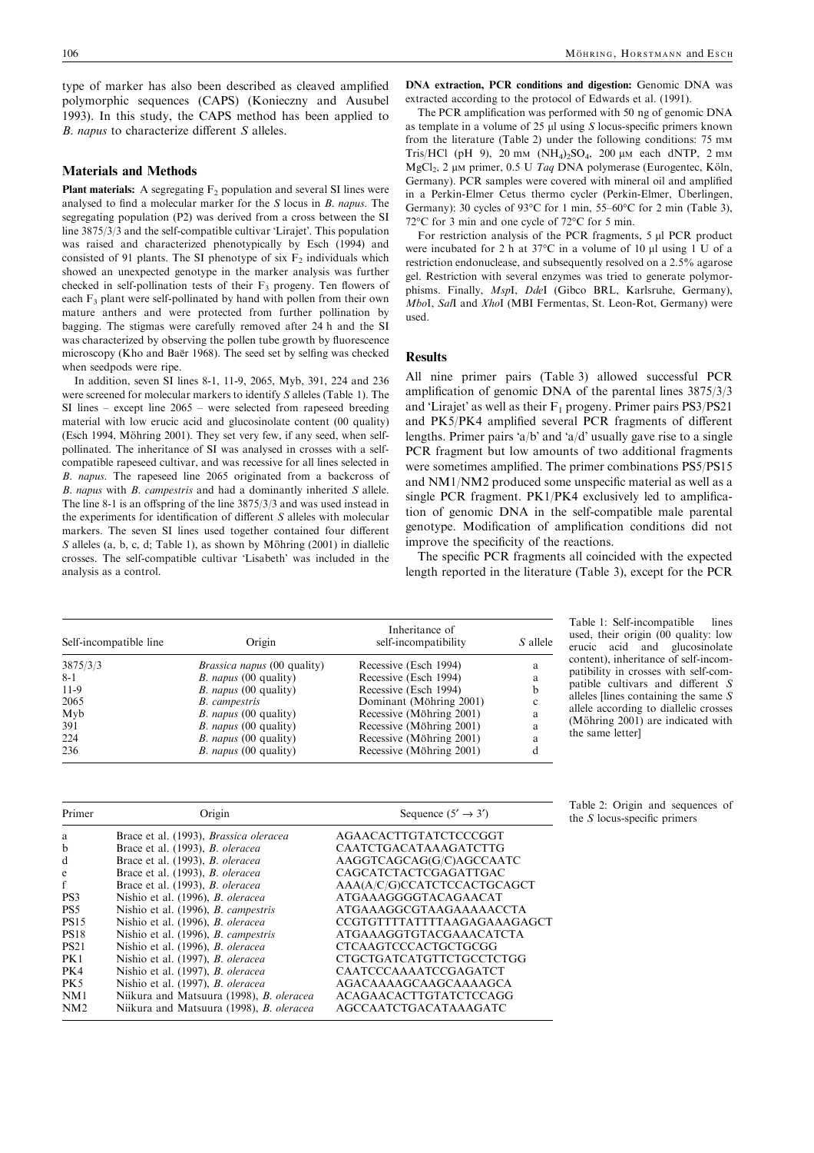type of marker has also been described as cleaved amplified polymorphic sequences (CAPS) (Konieczny and Ausubel 1993). In this study, the CAPS method has been applied to B. napus to characterize different S alleles.

## Materials and Methods

**Plant materials:** A segregating  $F_2$  population and several SI lines were analysed to find a molecular marker for the S locus in B. napus. The segregating population (P2) was derived from a cross between the SI line 3875/3/3 and the self-compatible cultivar 'Lirajet'. This population was raised and characterized phenotypically by Esch (1994) and consisted of 91 plants. The SI phenotype of six  $F_2$  individuals which showed an unexpected genotype in the marker analysis was further checked in self-pollination tests of their  $F_3$  progeny. Ten flowers of each F<sub>3</sub> plant were self-pollinated by hand with pollen from their own mature anthers and were protected from further pollination by bagging. The stigmas were carefully removed after 24 h and the SI was characterized by observing the pollen tube growth by fluorescence microscopy (Kho and Baër 1968). The seed set by selfing was checked when seedpods were ripe.

In addition, seven SI lines 8-1, 11-9, 2065, Myb, 391, 224 and 236 were screened for molecular markers to identify S alleles (Table 1). The SI lines – except line 2065 – were selected from rapeseed breeding material with low erucic acid and glucosinolate content (00 quality) (Esch 1994, Möhring 2001). They set very few, if any seed, when selfpollinated. The inheritance of SI was analysed in crosses with a selfcompatible rapeseed cultivar, and was recessive for all lines selected in B. napus. The rapeseed line 2065 originated from a backcross of B. napus with B. campestris and had a dominantly inherited S allele. The line 8-1 is an offspring of the line 3875/3/3 and was used instead in the experiments for identification of different S alleles with molecular markers. The seven SI lines used together contained four different  $S$  alleles (a, b, c, d; Table 1), as shown by Möhring (2001) in diallelic crosses. The self-compatible cultivar 'Lisabeth' was included in the analysis as a control.

DNA extraction, PCR conditions and digestion: Genomic DNA was extracted according to the protocol of Edwards et al. (1991).

The PCR amplification was performed with 50 ng of genomic DNA as template in a volume of  $25 \mu l$  using S locus-specific primers known from the literature (Table 2) under the following conditions: 75 mm Tris/HCl (pH 9), 20 mm  $(NH_4)_2SO_4$ , 200 µm each dNTP, 2 mm MgCl<sub>2</sub>, 2 μM primer, 0.5 U Taq DNA polymerase (Eurogentec, Köln, Germany). PCR samples were covered with mineral oil and amplified in a Perkin-Elmer Cetus thermo cycler (Perkin-Elmer, Überlingen, Germany): 30 cycles of  $93^{\circ}$ C for 1 min, 55–60 $^{\circ}$ C for 2 min (Table 3),  $72^{\circ}$ C for 3 min and one cycle of  $72^{\circ}$ C for 5 min.

For restriction analysis of the PCR fragments,  $5 \mu$ l PCR product were incubated for 2 h at  $37^{\circ}$ C in a volume of 10 µl using 1 U of a restriction endonuclease, and subsequently resolved on a 2.5% agarose gel. Restriction with several enzymes was tried to generate polymorphisms. Finally, MspI, DdeI (Gibco BRL, Karlsruhe, Germany), MboI, SalI and XhoI (MBI Fermentas, St. Leon-Rot, Germany) were used.

## Results

All nine primer pairs (Table 3) allowed successful PCR amplification of genomic DNA of the parental lines 3875/3/3 and 'Lirajet' as well as their  $F_1$  progeny. Primer pairs  $PS3/PS21$ and PK5/PK4 amplified several PCR fragments of different lengths. Primer pairs 'a/b' and 'a/d' usually gave rise to a single PCR fragment but low amounts of two additional fragments were sometimes amplified. The primer combinations PS5/PS15 and NM1/NM2 produced some unspecific material as well as a single PCR fragment. PK1/PK4 exclusively led to amplification of genomic DNA in the self-compatible male parental genotype. Modification of amplification conditions did not improve the specificity of the reactions.

The specific PCR fragments all coincided with the expected length reported in the literature (Table 3), except for the PCR

| Self-incompatible line | Origin                             | Inheritance of<br>self-incompatibility | S allele |  |
|------------------------|------------------------------------|----------------------------------------|----------|--|
| 3875/3/3               | <i>Brassica napus</i> (00 quality) | Recessive (Esch 1994)                  | a        |  |
| $8 - 1$                | <i>B. napus</i> (00 quality)       | Recessive (Esch 1994)                  | a        |  |
| $11-9$                 | <i>B. napus</i> (00 quality)       | Recessive (Esch 1994)                  | b        |  |
| 2065                   | <b>B.</b> campestris               | Dominant (Möhring 2001)                | c        |  |
| Myb                    | <i>B. napus</i> (00 quality)       | Recessive (Möhring 2001)               | a        |  |
| 391                    | <i>B. napus</i> $(00$ quality)     | Recessive (Möhring 2001)               | a        |  |
| 224                    | <i>B. napus</i> (00 quality)       | Recessive (Möhring 2001)               | a        |  |
| 236                    | <i>B. napus</i> (00 quality)       | Recessive (Möhring 2001)               |          |  |

Table 1: Self-incompatible lines used, their origin (00 quality: low erucic acid and glucosinolate content), inheritance of self-incompatibility in crosses with self-compatible cultivars and different S alleles [lines containing the same  $S$ allele according to diallelic crosses (Möhring  $2001$ ) are indicated with the same letter]

| Primer          | Origin                                                                             | Sequence $(5' \rightarrow 3')$                              |
|-----------------|------------------------------------------------------------------------------------|-------------------------------------------------------------|
| a               | Brace et al. (1993), Brassica oleracea                                             | AGAACACTTGTATCTCCCGGT                                       |
| b               | Brace et al. (1993), <i>B. oleracea</i>                                            | CAATCTGACATAAAGATCTTG                                       |
| d               | Brace et al. (1993), <i>B. oleracea</i>                                            | AAGGTCAGCAG(G/C)AGCCAATC                                    |
| e               | Brace et al. (1993), <i>B. oleracea</i><br>Brace et al. (1993), <i>B. oleracea</i> | <b>CAGCATCTACTCGAGATTGAC</b><br>AAA(A/C/G)CCATCTCCACTGCAGCT |
| PS <sub>3</sub> | Nishio et al. (1996), <i>B. oleracea</i>                                           | ATGAAAGGGGTACAGAACAT                                        |
| PS <sub>5</sub> | Nishio et al. (1996), <i>B. campestris</i>                                         | <b>ATGAAAGGCGTAAGAAAAACCTA</b>                              |
| <b>PS15</b>     | Nishio et al. (1996), <i>B. oleracea</i>                                           | CCGTGTTTTATTTTAAGAGAAAGAGCT                                 |
| <b>PS18</b>     | Nishio et al. (1996), <i>B. campestris</i>                                         | <b>ATGAAAGGTGTACGAAACATCTA</b>                              |
| <b>PS21</b>     | Nishio et al. (1996), <i>B. oleracea</i>                                           | <b>CTCAAGTCCCACTGCTGCGG</b>                                 |
| PK1             | Nishio et al. (1997), <i>B. oleracea</i>                                           | CTGCTGATCATGTTCTGCCTCTGG                                    |
| PK4             | Nishio et al. (1997), B. oleracea                                                  | CAATCCCAAAATCCGAGATCT                                       |
| PK <sub>5</sub> | Nishio et al. (1997), <i>B. oleracea</i>                                           | AGACAAAAGCAAGCAAAAGCA                                       |
| NM1             | Niikura and Matsuura (1998), <i>B. oleracea</i>                                    | ACAGAACACTTGTATCTCCAGG                                      |
| NM2             | Niikura and Matsuura (1998), <i>B. oleracea</i>                                    | <b>AGCCAATCTGACATAAAGATC</b>                                |

Table 2: Origin and sequences of the  $S$  locus-specific primers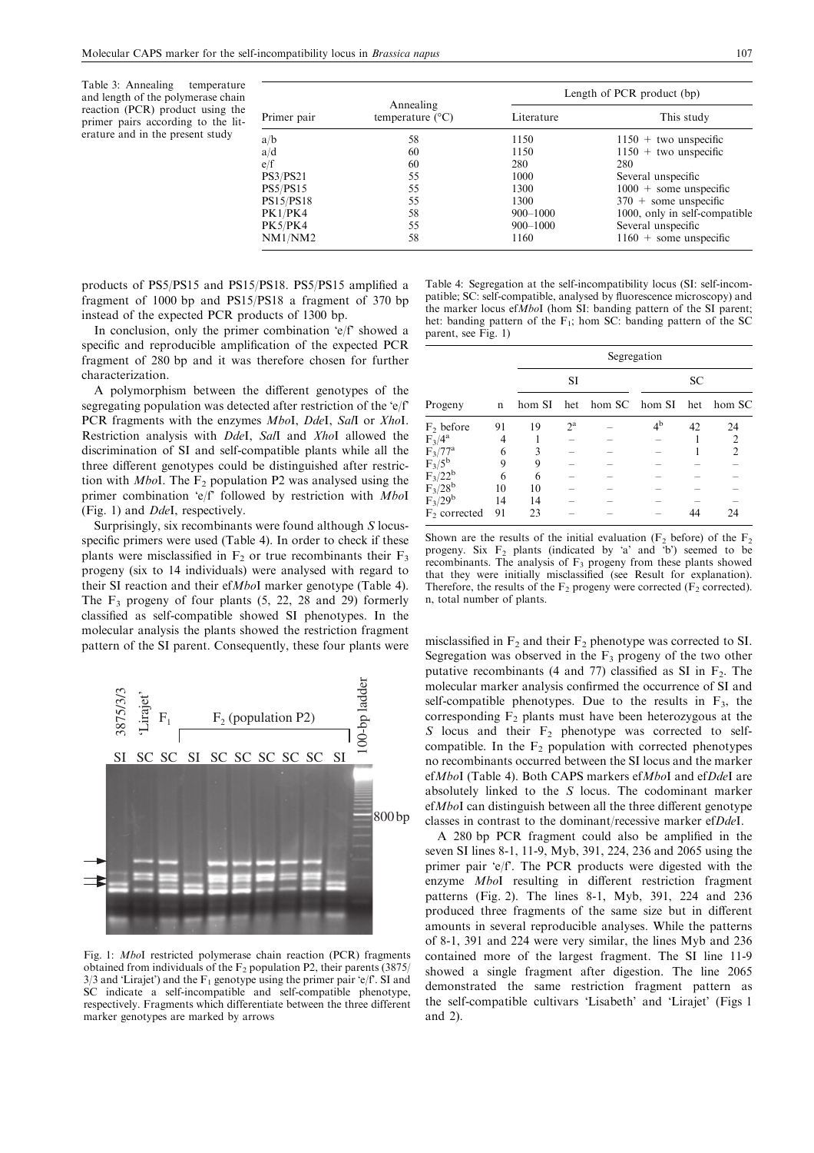Table 3: Annealing temperature and length of the polymerase chain reaction (PCR) product using the primer pairs according to the literature and in the present study

| Primer pair      | Annealing<br>temperature $(^{\circ}C)$ | Length of PCR product (bp) |                               |  |  |
|------------------|----------------------------------------|----------------------------|-------------------------------|--|--|
|                  |                                        | Literature                 | This study                    |  |  |
| a/b              | 58                                     | 1150                       | $1150 +$ two unspecific       |  |  |
| a/d              | 60                                     | 1150                       | $1150 +$ two unspecific       |  |  |
| e/f              | 60                                     | 280                        | 280                           |  |  |
| <b>PS3/PS21</b>  | 55                                     | 1000                       | Several unspecific            |  |  |
| <b>PS5/PS15</b>  | 55                                     | 1300                       | $1000 +$ some unspecific      |  |  |
| <b>PS15/PS18</b> | 55                                     | 1300                       | $370 +$ some unspecific       |  |  |
| PK1/PK4          | 58                                     | $900 - 1000$               | 1000, only in self-compatible |  |  |
| PK5/PK4          | 55                                     | $900 - 1000$               | Several unspecific            |  |  |
| NM1/NM2          | 58                                     | 1160                       | $1160 +$ some unspecific      |  |  |

products of PS5/PS15 and PS15/PS18. PS5/PS15 amplified a fragment of 1000 bp and PS15/PS18 a fragment of 370 bp instead of the expected PCR products of 1300 bp.

In conclusion, only the primer combination ' $e/f$ ' showed a specific and reproducible amplification of the expected PCR fragment of 280 bp and it was therefore chosen for further characterization.

A polymorphism between the different genotypes of the segregating population was detected after restriction of the 'e/f' PCR fragments with the enzymes MboI, DdeI, SalI or XhoI. Restriction analysis with DdeI, SalI and XhoI allowed the discrimination of SI and self-compatible plants while all the three different genotypes could be distinguished after restriction with *MboI*. The  $F_2$  population P2 was analysed using the primer combination 'e/f' followed by restriction with MboI (Fig. 1) and DdeI, respectively.

Surprisingly, six recombinants were found although S locusspecific primers were used (Table 4). In order to check if these plants were misclassified in  $F_2$  or true recombinants their  $F_3$ progeny (six to 14 individuals) were analysed with regard to their SI reaction and their efMboI marker genotype (Table 4). The  $F_3$  progeny of four plants  $(5, 22, 28, 29)$  formerly classified as self-compatible showed SI phenotypes. In the molecular analysis the plants showed the restriction fragment pattern of the SI parent. Consequently, these four plants were misclassified in  $F_2$  and their  $F_2$  phenotype was corrected to SI.



Fig. 1: MboI restricted polymerase chain reaction (PCR) fragments obtained from individuals of the  $F_2$  population P2, their parents (3875)  $3/3$  and 'Lirajet') and the F<sub>1</sub> genotype using the primer pair 'e/f'. SI and SC indicate a self-incompatible and self-compatible phenotype, respectively. Fragments which differentiate between the three different marker genotypes are marked by arrows

Table 4: Segregation at the self-incompatibility locus (SI: self-incompatible; SC: self-compatible, analysed by fluorescence microscopy) and the marker locus ef $\overline{M}$ boI (hom SI: banding pattern of the SI parent; het: banding pattern of the  $F_1$ ; hom SC: banding pattern of the SC parent, see Fig. 1)

|                                        |    | Segregation |                  |               |             |     |                |
|----------------------------------------|----|-------------|------------------|---------------|-------------|-----|----------------|
|                                        |    | SI          |                  | SC            |             |     |                |
| Progeny                                | n  | hom SI      | het              | hom SC hom SI |             | het | hom SC         |
| $F_2$ before                           | 91 | 19          | $2^{\mathrm{a}}$ |               | $4^{\rm b}$ | 42  | 24             |
| $F_3/4^a$                              |    |             |                  |               |             |     | $\overline{2}$ |
| $F_3/77^a$                             | 6  | ٦           |                  |               |             |     | $\mathfrak{D}$ |
| $F_3/5^b$                              | 9  | 9           |                  |               |             |     |                |
| $F_3/22^b$<br>$F_3/28^b$<br>$F_3/29^b$ | 6  | 6           |                  |               |             |     |                |
|                                        | 10 | 10          |                  |               |             |     |                |
|                                        | 14 | 14          |                  |               |             |     |                |
| $F2$ corrected                         | 91 | 23          |                  |               |             |     | 24             |

Shown are the results of the initial evaluation  $(F_2)$  before) of the  $F_2$ progeny. Six  $F_2$  plants (indicated by 'a' and 'b') seemed to be recombinants. The analysis of  $F_3$  progeny from these plants showed that they were initially misclassified (see Result for explanation). Therefore, the results of the  $F_2$  progeny were corrected ( $F_2$  corrected). n, total number of plants.

Segregation was observed in the  $F_3$  progeny of the two other putative recombinants (4 and 77) classified as SI in  $F<sub>2</sub>$ . The molecular marker analysis confirmed the occurrence of SI and self-compatible phenotypes. Due to the results in  $F_3$ , the corresponding  $F_2$  plants must have been heterozygous at the S locus and their  $F_2$  phenotype was corrected to selfcompatible. In the  $F_2$  population with corrected phenotypes no recombinants occurred between the SI locus and the marker efMboI (Table 4). Both CAPS markers efMboI and efDdeI are absolutely linked to the S locus. The codominant marker efMboI can distinguish between all the three different genotype classes in contrast to the dominant/recessive marker efDdeI.

A 280 bp PCR fragment could also be amplified in the seven SI lines 8-1, 11-9, Myb, 391, 224, 236 and 2065 using the primer pair 'e/f'. The PCR products were digested with the enzyme MboI resulting in different restriction fragment patterns (Fig. 2). The lines 8-1, Myb, 391, 224 and 236 produced three fragments of the same size but in different amounts in several reproducible analyses. While the patterns of 8-1, 391 and 224 were very similar, the lines Myb and 236 contained more of the largest fragment. The SI line 11-9 showed a single fragment after digestion. The line 2065 demonstrated the same restriction fragment pattern as the self-compatible cultivars 'Lisabeth' and 'Lirajet' (Figs 1 and 2).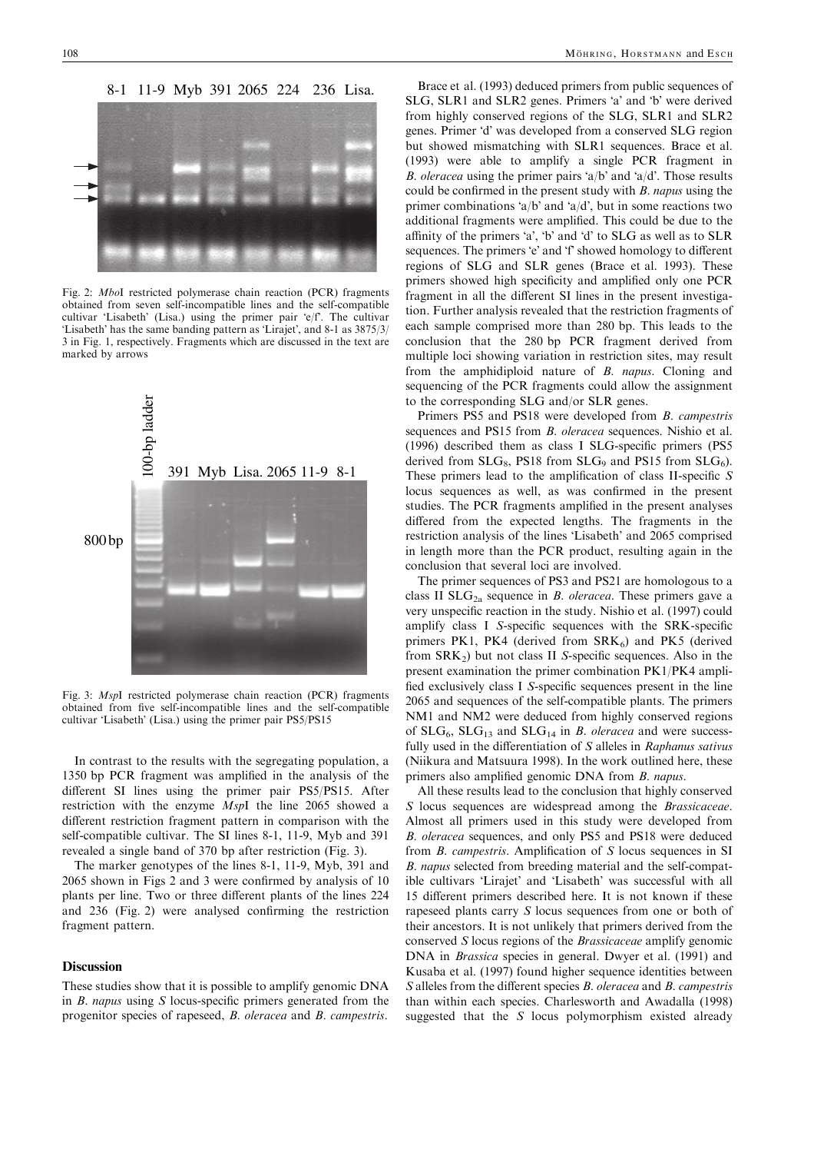

Fig. 2: MboI restricted polymerase chain reaction (PCR) fragments obtained from seven self-incompatible lines and the self-compatible cultivar 'Lisabeth' (Lisa.) using the primer pair 'e/f'. The cultivar 'Lisabeth' has the same banding pattern as 'Lirajet', and 8-1 as  $3875/3/$ 3 in Fig. 1, respectively. Fragments which are discussed in the text are marked by arrows



Fig. 3: MspI restricted polymerase chain reaction (PCR) fragments obtained from five self-incompatible lines and the self-compatible cultivar 'Lisabeth' (Lisa.) using the primer pair PS5/PS15

In contrast to the results with the segregating population, a 1350 bp PCR fragment was amplified in the analysis of the different SI lines using the primer pair PS5/PS15. After restriction with the enzyme MspI the line 2065 showed a different restriction fragment pattern in comparison with the self-compatible cultivar. The SI lines 8-1, 11-9, Myb and 391 revealed a single band of 370 bp after restriction (Fig. 3).

The marker genotypes of the lines 8-1, 11-9, Myb, 391 and 2065 shown in Figs 2 and 3 were confirmed by analysis of 10 plants per line. Two or three different plants of the lines 224 and 236 (Fig. 2) were analysed confirming the restriction fragment pattern.

## Discussion

These studies show that it is possible to amplify genomic DNA in  $B$ . *napus* using  $S$  locus-specific primers generated from the progenitor species of rapeseed, B. oleracea and B. campestris.

Brace et al. (1993) deduced primers from public sequences of SLG, SLR1 and SLR2 genes. Primers 'a' and 'b' were derived from highly conserved regions of the SLG, SLR1 and SLR2 genes. Primer 'd' was developed from a conserved SLG region but showed mismatching with SLR1 sequences. Brace et al. (1993) were able to amplify a single PCR fragment in *B. oleracea* using the primer pairs 'a/b' and 'a/d'. Those results could be confirmed in the present study with B. napus using the primer combinations 'a/b' and 'a/d', but in some reactions two additional fragments were amplified. This could be due to the affinity of the primers 'a', 'b' and 'd' to  $SLG$  as well as to  $SLR$ sequences. The primers 'e' and 'f' showed homology to different regions of SLG and SLR genes (Brace et al. 1993). These primers showed high specificity and amplified only one PCR fragment in all the different SI lines in the present investigation. Further analysis revealed that the restriction fragments of each sample comprised more than 280 bp. This leads to the conclusion that the 280 bp PCR fragment derived from multiple loci showing variation in restriction sites, may result from the amphidiploid nature of B. napus. Cloning and sequencing of the PCR fragments could allow the assignment to the corresponding SLG and/or SLR genes.

Primers PS5 and PS18 were developed from B. campestris sequences and PS15 from *B. oleracea* sequences. Nishio et al. (1996) described them as class I SLG-specific primers (PS5 derived from  $SLG_8$ , PS18 from  $SLG_9$  and PS15 from  $SLG_6$ ). These primers lead to the amplification of class II-specific S locus sequences as well, as was confirmed in the present studies. The PCR fragments amplified in the present analyses differed from the expected lengths. The fragments in the restriction analysis of the lines 'Lisabeth' and 2065 comprised in length more than the PCR product, resulting again in the conclusion that several loci are involved.

The primer sequences of PS3 and PS21 are homologous to a class II  $SLG<sub>2a</sub>$  sequence in *B. oleracea*. These primers gave a very unspecific reaction in the study. Nishio et al. (1997) could amplify class I S-specific sequences with the SRK-specific primers PK1, PK4 (derived from  $SRK_6$ ) and PK5 (derived from  $SRK<sub>2</sub>$ ) but not class II S-specific sequences. Also in the present examination the primer combination PK1/PK4 amplified exclusively class I S-specific sequences present in the line 2065 and sequences of the self-compatible plants. The primers NM1 and NM2 were deduced from highly conserved regions of  $SLG_6$ ,  $SLG_{13}$  and  $SLG_{14}$  in B. oleracea and were successfully used in the differentiation of S alleles in Raphanus sativus (Niikura and Matsuura 1998). In the work outlined here, these primers also amplified genomic DNA from B. napus.

All these results lead to the conclusion that highly conserved S locus sequences are widespread among the Brassicaceae. Almost all primers used in this study were developed from B. oleracea sequences, and only PS5 and PS18 were deduced from B. campestris. Amplification of S locus sequences in SI B. napus selected from breeding material and the self-compatible cultivars 'Lirajet' and 'Lisabeth' was successful with all 15 different primers described here. It is not known if these rapeseed plants carry S locus sequences from one or both of their ancestors. It is not unlikely that primers derived from the conserved S locus regions of the Brassicaceae amplify genomic DNA in *Brassica* species in general. Dwyer et al. (1991) and Kusaba et al. (1997) found higher sequence identities between S alleles from the different species B. oleracea and B. campestris than within each species. Charlesworth and Awadalla (1998) suggested that the S locus polymorphism existed already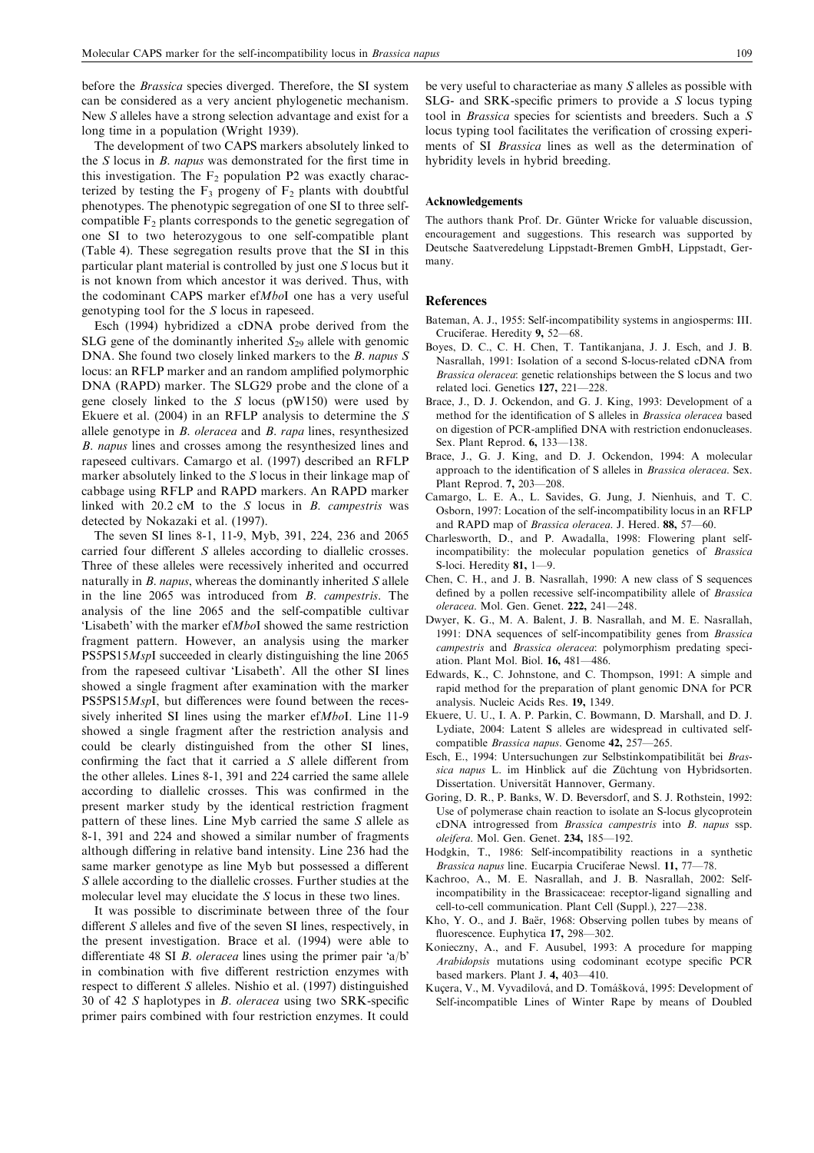before the *Brassica* species diverged. Therefore, the SI system can be considered as a very ancient phylogenetic mechanism. New S alleles have a strong selection advantage and exist for a long time in a population (Wright 1939).

The development of two CAPS markers absolutely linked to the S locus in B. napus was demonstrated for the first time in this investigation. The  $F<sub>2</sub>$  population P2 was exactly characterized by testing the  $F_3$  progeny of  $F_2$  plants with doubtful phenotypes. The phenotypic segregation of one SI to three selfcompatible  $F_2$  plants corresponds to the genetic segregation of one SI to two heterozygous to one self-compatible plant (Table 4). These segregation results prove that the SI in this particular plant material is controlled by just one S locus but it is not known from which ancestor it was derived. Thus, with the codominant CAPS marker efMboI one has a very useful genotyping tool for the S locus in rapeseed.

Esch (1994) hybridized a cDNA probe derived from the SLG gene of the dominantly inherited  $S_{29}$  allele with genomic DNA. She found two closely linked markers to the B. napus S locus: an RFLP marker and an random amplified polymorphic DNA (RAPD) marker. The SLG29 probe and the clone of a gene closely linked to the S locus (pW150) were used by Ekuere et al. (2004) in an RFLP analysis to determine the  $S$ allele genotype in B. oleracea and B. rapa lines, resynthesized B. napus lines and crosses among the resynthesized lines and rapeseed cultivars. Camargo et al. (1997) described an RFLP marker absolutely linked to the S locus in their linkage map of cabbage using RFLP and RAPD markers. An RAPD marker linked with  $20.2$  cM to the S locus in B. campestris was detected by Nokazaki et al. (1997).

The seven SI lines 8-1, 11-9, Myb, 391, 224, 236 and 2065 carried four different S alleles according to diallelic crosses. Three of these alleles were recessively inherited and occurred naturally in  $B$ . *napus*, whereas the dominantly inherited  $S$  allele in the line 2065 was introduced from B. campestris. The analysis of the line 2065 and the self-compatible cultivar 'Lisabeth' with the marker ef $MboI$  showed the same restriction fragment pattern. However, an analysis using the marker PS5PS15MspI succeeded in clearly distinguishing the line 2065 from the rapeseed cultivar 'Lisabeth'. All the other SI lines showed a single fragment after examination with the marker PS5PS15MspI, but differences were found between the recessively inherited SI lines using the marker efMboI. Line 11-9 showed a single fragment after the restriction analysis and could be clearly distinguished from the other SI lines, confirming the fact that it carried a S allele different from the other alleles. Lines 8-1, 391 and 224 carried the same allele according to diallelic crosses. This was confirmed in the present marker study by the identical restriction fragment pattern of these lines. Line Myb carried the same S allele as 8-1, 391 and 224 and showed a similar number of fragments although differing in relative band intensity. Line 236 had the same marker genotype as line Myb but possessed a different S allele according to the diallelic crosses. Further studies at the molecular level may elucidate the S locus in these two lines.

It was possible to discriminate between three of the four different S alleles and five of the seven SI lines, respectively, in the present investigation. Brace et al. (1994) were able to differentiate 48 SI B. oleracea lines using the primer pair  $a/b$ in combination with five different restriction enzymes with respect to different S alleles. Nishio et al. (1997) distinguished 30 of 42 S haplotypes in B. oleracea using two SRK-specific primer pairs combined with four restriction enzymes. It could

be very useful to characteriae as many S alleles as possible with SLG- and SRK-specific primers to provide a S locus typing tool in Brassica species for scientists and breeders. Such a S locus typing tool facilitates the verification of crossing experiments of SI Brassica lines as well as the determination of hybridity levels in hybrid breeding.

#### Acknowledgements

The authors thank Prof. Dr. Günter Wricke for valuable discussion, encouragement and suggestions. This research was supported by Deutsche Saatveredelung Lippstadt-Bremen GmbH, Lippstadt, Germany.

#### References

- Bateman, A. J., 1955: Self-incompatibility systems in angiosperms: III. Cruciferae. Heredity 9, 52—68.
- Boyes, D. C., C. H. Chen, T. Tantikanjana, J. J. Esch, and J. B. Nasrallah, 1991: Isolation of a second S-locus-related cDNA from Brassica oleracea: genetic relationships between the S locus and two related loci. Genetics 127, 221—228.
- Brace, J., D. J. Ockendon, and G. J. King, 1993: Development of a method for the identification of S alleles in Brassica oleracea based on digestion of PCR-amplified DNA with restriction endonucleases. Sex. Plant Reprod. 6, 133—138.
- Brace, J., G. J. King, and D. J. Ockendon, 1994: A molecular approach to the identification of S alleles in Brassica oleracea. Sex. Plant Reprod. 7, 203—208.
- Camargo, L. E. A., L. Savides, G. Jung, J. Nienhuis, and T. C. Osborn, 1997: Location of the self-incompatibility locus in an RFLP and RAPD map of Brassica oleracea. J. Hered. 88, 57—60.
- Charlesworth, D., and P. Awadalla, 1998: Flowering plant selfincompatibility: the molecular population genetics of Brassica S-loci. Heredity 81, 1—9.
- Chen, C. H., and J. B. Nasrallah, 1990: A new class of S sequences defined by a pollen recessive self-incompatibility allele of Brassica oleracea. Mol. Gen. Genet. 222, 241—248.
- Dwyer, K. G., M. A. Balent, J. B. Nasrallah, and M. E. Nasrallah, 1991: DNA sequences of self-incompatibility genes from Brassica campestris and Brassica oleracea: polymorphism predating speciation. Plant Mol. Biol. 16, 481—486.
- Edwards, K., C. Johnstone, and C. Thompson, 1991: A simple and rapid method for the preparation of plant genomic DNA for PCR analysis. Nucleic Acids Res. 19, 1349.
- Ekuere, U. U., I. A. P. Parkin, C. Bowmann, D. Marshall, and D. J. Lydiate, 2004: Latent S alleles are widespread in cultivated selfcompatible Brassica napus. Genome 42, 257—265.
- Esch, E., 1994: Untersuchungen zur Selbstinkompatibilität bei Brassica napus L. im Hinblick auf die Züchtung von Hybridsorten. Dissertation. Universität Hannover, Germany.
- Goring, D. R., P. Banks, W. D. Beversdorf, and S. J. Rothstein, 1992: Use of polymerase chain reaction to isolate an S-locus glycoprotein cDNA introgressed from Brassica campestris into B. napus ssp. oleifera. Mol. Gen. Genet. 234, 185—192.
- Hodgkin, T., 1986: Self-incompatibility reactions in a synthetic Brassica napus line. Eucarpia Cruciferae Newsl. 11, 77—78.
- Kachroo, A., M. E. Nasrallah, and J. B. Nasrallah, 2002: Selfincompatibility in the Brassicaceae: receptor-ligand signalling and cell-to-cell communication. Plant Cell (Suppl.), 227—238.
- Kho, Y. O., and J. Baër, 1968: Observing pollen tubes by means of fluorescence. Euphytica 17, 298-302.
- Konieczny, A., and F. Ausubel, 1993: A procedure for mapping Arabidopsis mutations using codominant ecotype specific PCR based markers. Plant J. 4, 403—410.
- Kucera, V., M. Vyvadilová, and D. Tomášková, 1995: Development of Self-incompatible Lines of Winter Rape by means of Doubled